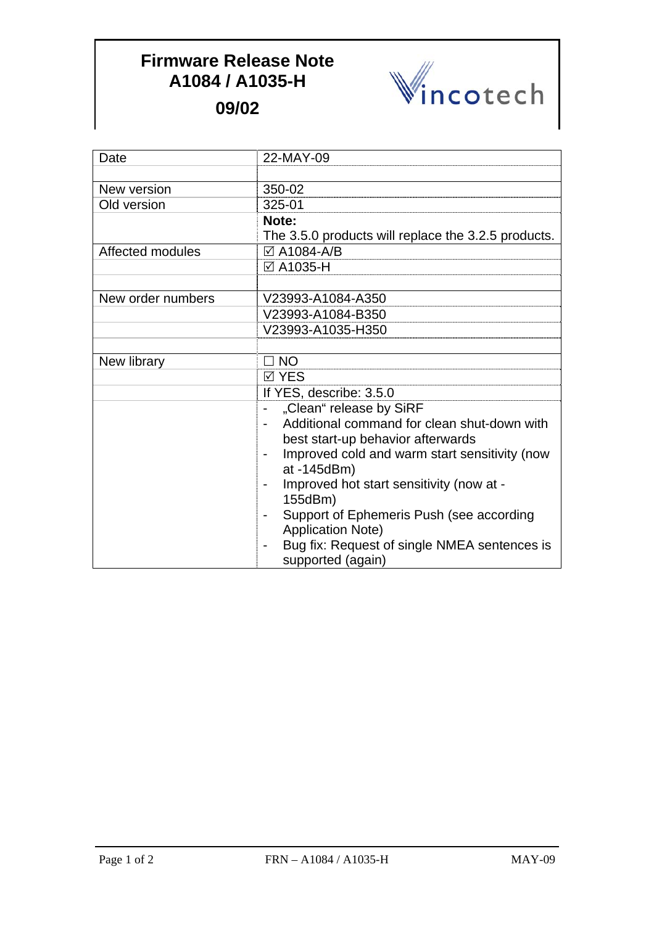## **Firmware Release Note A1084 / A1035-H 09/02**



| Date              | 22-MAY-09                                                  |
|-------------------|------------------------------------------------------------|
|                   |                                                            |
| New version       | 350-02                                                     |
| Old version       | 325-01                                                     |
|                   | Note:                                                      |
|                   | The 3.5.0 products will replace the 3.2.5 products.        |
| Affected modules  | ☑ A1084-A/B                                                |
|                   | <b>⊠A1035-H</b>                                            |
|                   |                                                            |
| New order numbers | V23993-A1084-A350                                          |
|                   | V23993-A1084-B350                                          |
|                   | V23993-A1035-H350                                          |
|                   |                                                            |
| New library       | $\Box$ NO                                                  |
|                   | <b>⊠ YES</b>                                               |
|                   | If YES, describe: 3.5.0                                    |
|                   | "Clean" release by SiRF<br>$\overline{a}$                  |
|                   | Additional command for clean shut-down with                |
|                   | best start-up behavior afterwards                          |
|                   | Improved cold and warm start sensitivity (now              |
|                   | at -145dBm)                                                |
|                   | Improved hot start sensitivity (now at -                   |
|                   | 155dBm)                                                    |
|                   | Support of Ephemeris Push (see according<br>$\blacksquare$ |
|                   | <b>Application Note)</b>                                   |
|                   | Bug fix: Request of single NMEA sentences is               |
|                   | supported (again)                                          |